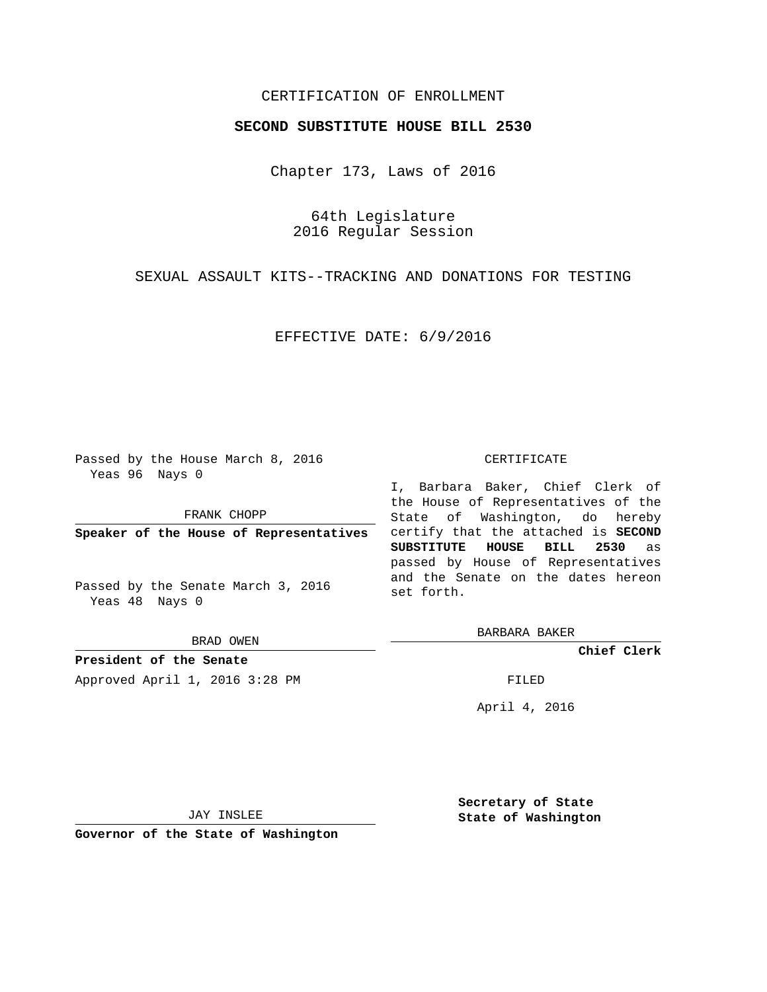## CERTIFICATION OF ENROLLMENT

#### **SECOND SUBSTITUTE HOUSE BILL 2530**

Chapter 173, Laws of 2016

64th Legislature 2016 Regular Session

SEXUAL ASSAULT KITS--TRACKING AND DONATIONS FOR TESTING

EFFECTIVE DATE: 6/9/2016

Passed by the House March 8, 2016 Yeas 96 Nays 0

FRANK CHOPP

**Speaker of the House of Representatives**

Passed by the Senate March 3, 2016 Yeas 48 Nays 0

BRAD OWEN

**President of the Senate**

Approved April 1, 2016 3:28 PM FILED

#### CERTIFICATE

I, Barbara Baker, Chief Clerk of the House of Representatives of the State of Washington, do hereby certify that the attached is **SECOND SUBSTITUTE HOUSE BILL 2530** as passed by House of Representatives and the Senate on the dates hereon set forth.

BARBARA BAKER

**Chief Clerk**

April 4, 2016

JAY INSLEE

**Governor of the State of Washington**

**Secretary of State State of Washington**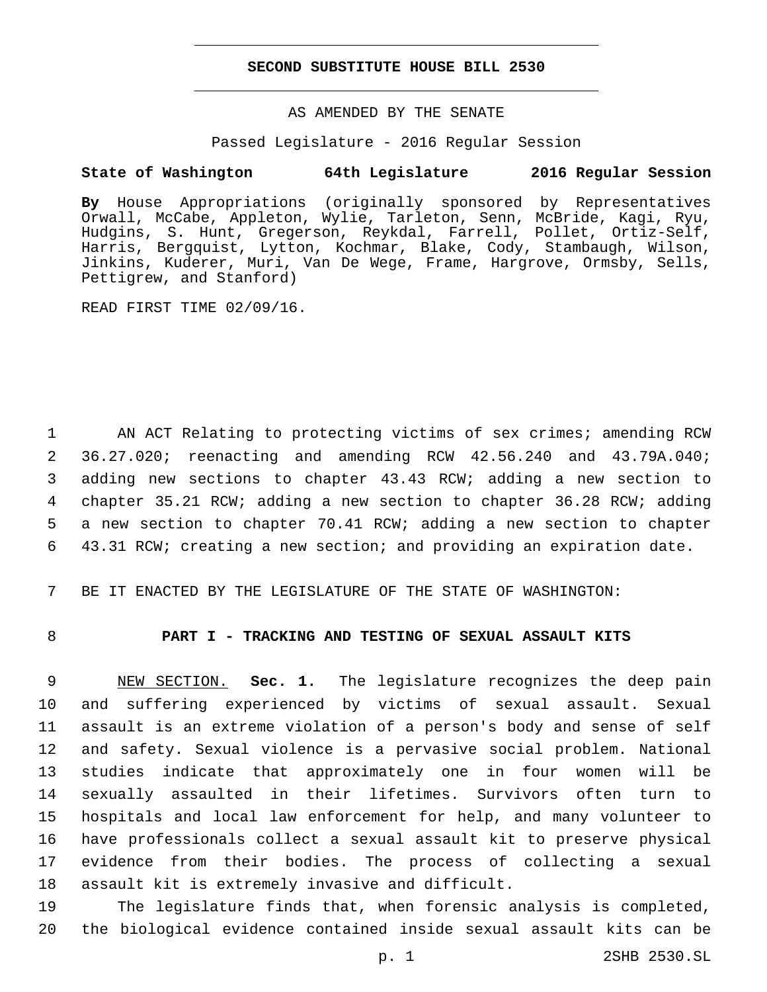### **SECOND SUBSTITUTE HOUSE BILL 2530**

## AS AMENDED BY THE SENATE

#### Passed Legislature - 2016 Regular Session

# **State of Washington 64th Legislature 2016 Regular Session**

**By** House Appropriations (originally sponsored by Representatives Orwall, McCabe, Appleton, Wylie, Tarleton, Senn, McBride, Kagi, Ryu, Hudgins, S. Hunt, Gregerson, Reykdal, Farrell, Pollet, Ortiz-Self, Harris, Bergquist, Lytton, Kochmar, Blake, Cody, Stambaugh, Wilson, Jinkins, Kuderer, Muri, Van De Wege, Frame, Hargrove, Ormsby, Sells, Pettigrew, and Stanford)

READ FIRST TIME 02/09/16.

1 AN ACT Relating to protecting victims of sex crimes; amending RCW 36.27.020; reenacting and amending RCW 42.56.240 and 43.79A.040; adding new sections to chapter 43.43 RCW; adding a new section to chapter 35.21 RCW; adding a new section to chapter 36.28 RCW; adding a new section to chapter 70.41 RCW; adding a new section to chapter 43.31 RCW; creating a new section; and providing an expiration date.

7 BE IT ENACTED BY THE LEGISLATURE OF THE STATE OF WASHINGTON:

# 8 **PART I - TRACKING AND TESTING OF SEXUAL ASSAULT KITS**

 NEW SECTION. **Sec. 1.** The legislature recognizes the deep pain and suffering experienced by victims of sexual assault. Sexual assault is an extreme violation of a person's body and sense of self and safety. Sexual violence is a pervasive social problem. National studies indicate that approximately one in four women will be sexually assaulted in their lifetimes. Survivors often turn to hospitals and local law enforcement for help, and many volunteer to have professionals collect a sexual assault kit to preserve physical evidence from their bodies. The process of collecting a sexual assault kit is extremely invasive and difficult.

19 The legislature finds that, when forensic analysis is completed, 20 the biological evidence contained inside sexual assault kits can be

p. 1 2SHB 2530.SL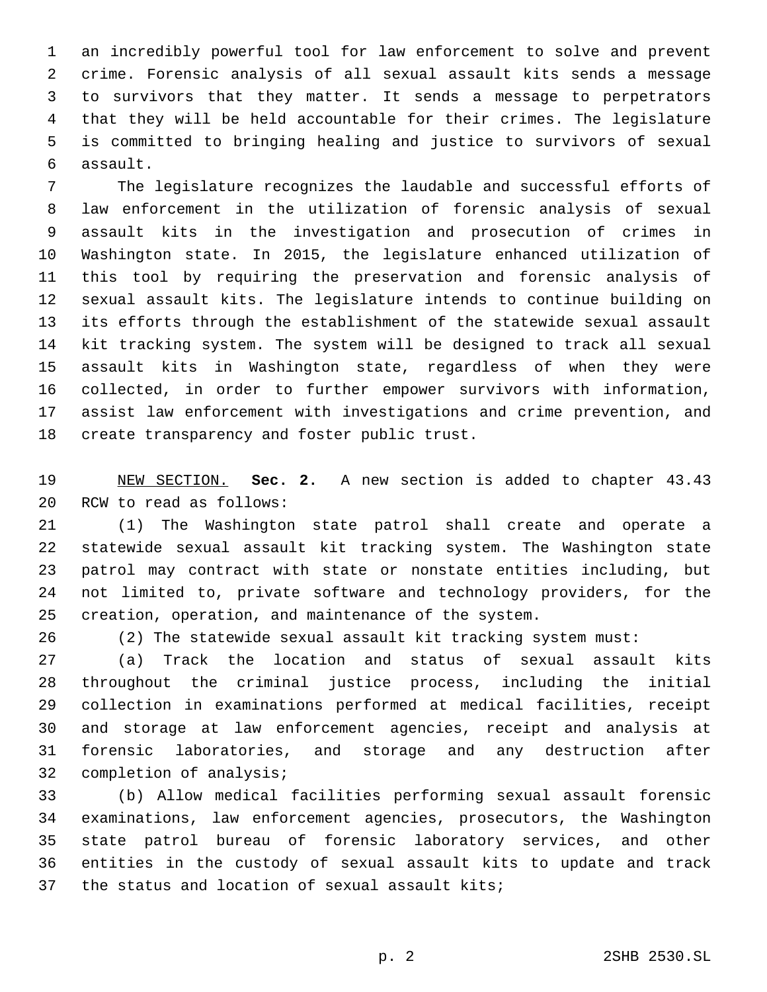an incredibly powerful tool for law enforcement to solve and prevent crime. Forensic analysis of all sexual assault kits sends a message to survivors that they matter. It sends a message to perpetrators that they will be held accountable for their crimes. The legislature is committed to bringing healing and justice to survivors of sexual assault.6

 The legislature recognizes the laudable and successful efforts of law enforcement in the utilization of forensic analysis of sexual assault kits in the investigation and prosecution of crimes in Washington state. In 2015, the legislature enhanced utilization of this tool by requiring the preservation and forensic analysis of sexual assault kits. The legislature intends to continue building on its efforts through the establishment of the statewide sexual assault kit tracking system. The system will be designed to track all sexual assault kits in Washington state, regardless of when they were collected, in order to further empower survivors with information, assist law enforcement with investigations and crime prevention, and 18 create transparency and foster public trust.

 NEW SECTION. **Sec. 2.** A new section is added to chapter 43.43 20 RCW to read as follows:

 (1) The Washington state patrol shall create and operate a statewide sexual assault kit tracking system. The Washington state patrol may contract with state or nonstate entities including, but not limited to, private software and technology providers, for the creation, operation, and maintenance of the system.

(2) The statewide sexual assault kit tracking system must:

 (a) Track the location and status of sexual assault kits throughout the criminal justice process, including the initial collection in examinations performed at medical facilities, receipt and storage at law enforcement agencies, receipt and analysis at forensic laboratories, and storage and any destruction after 32 completion of analysis;

 (b) Allow medical facilities performing sexual assault forensic examinations, law enforcement agencies, prosecutors, the Washington state patrol bureau of forensic laboratory services, and other entities in the custody of sexual assault kits to update and track 37 the status and location of sexual assault kits;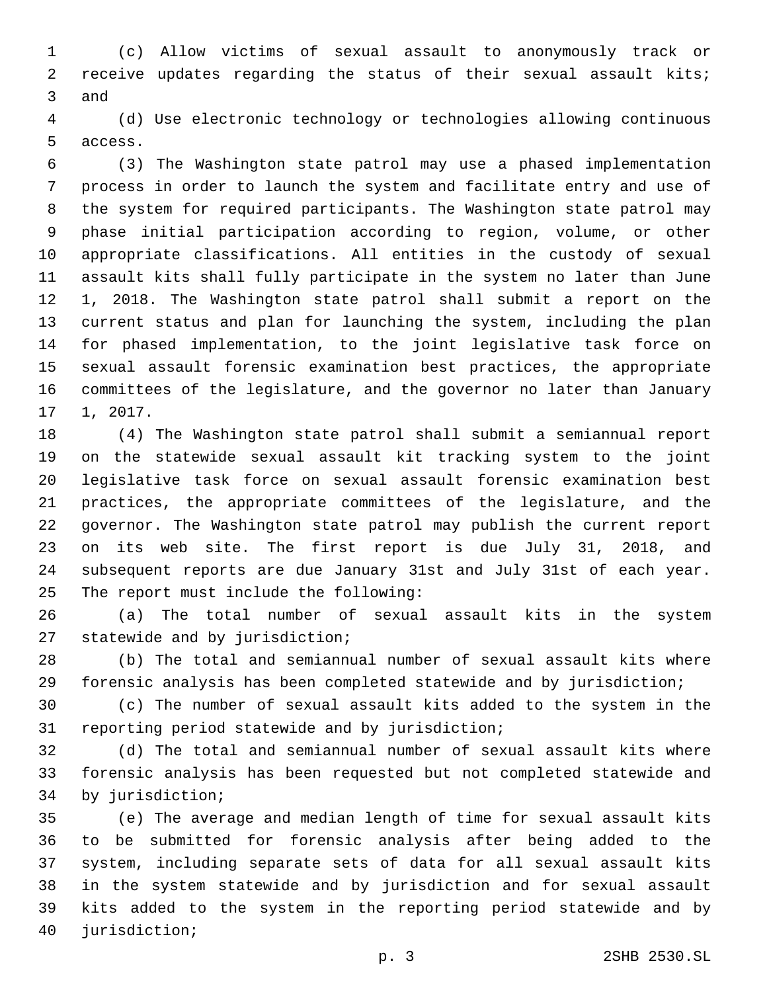(c) Allow victims of sexual assault to anonymously track or receive updates regarding the status of their sexual assault kits; 3 and

 (d) Use electronic technology or technologies allowing continuous 5 access.

 (3) The Washington state patrol may use a phased implementation process in order to launch the system and facilitate entry and use of the system for required participants. The Washington state patrol may phase initial participation according to region, volume, or other appropriate classifications. All entities in the custody of sexual assault kits shall fully participate in the system no later than June 1, 2018. The Washington state patrol shall submit a report on the current status and plan for launching the system, including the plan for phased implementation, to the joint legislative task force on sexual assault forensic examination best practices, the appropriate committees of the legislature, and the governor no later than January 1, 2017.

 (4) The Washington state patrol shall submit a semiannual report on the statewide sexual assault kit tracking system to the joint legislative task force on sexual assault forensic examination best practices, the appropriate committees of the legislature, and the governor. The Washington state patrol may publish the current report on its web site. The first report is due July 31, 2018, and subsequent reports are due January 31st and July 31st of each year. 25 The report must include the following:

 (a) The total number of sexual assault kits in the system 27 statewide and by jurisdiction;

 (b) The total and semiannual number of sexual assault kits where forensic analysis has been completed statewide and by jurisdiction;

 (c) The number of sexual assault kits added to the system in the 31 reporting period statewide and by jurisdiction;

 (d) The total and semiannual number of sexual assault kits where forensic analysis has been requested but not completed statewide and 34 by jurisdiction;

 (e) The average and median length of time for sexual assault kits to be submitted for forensic analysis after being added to the system, including separate sets of data for all sexual assault kits in the system statewide and by jurisdiction and for sexual assault kits added to the system in the reporting period statewide and by 40 jurisdiction;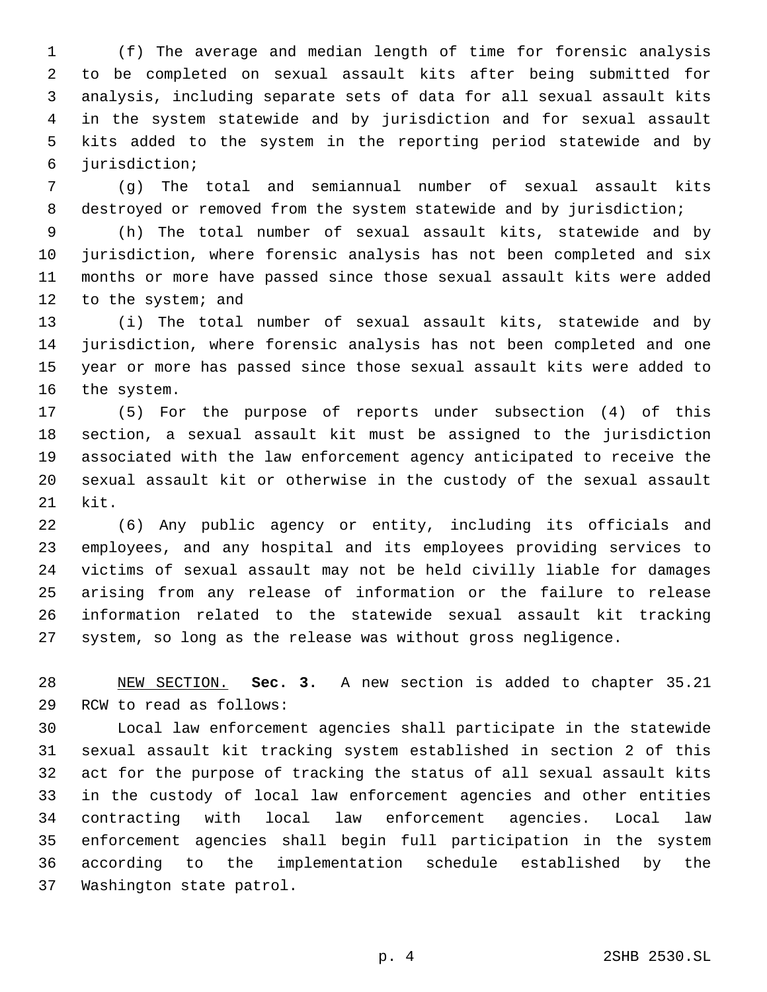(f) The average and median length of time for forensic analysis to be completed on sexual assault kits after being submitted for analysis, including separate sets of data for all sexual assault kits in the system statewide and by jurisdiction and for sexual assault kits added to the system in the reporting period statewide and by jurisdiction;6

 (g) The total and semiannual number of sexual assault kits destroyed or removed from the system statewide and by jurisdiction;

 (h) The total number of sexual assault kits, statewide and by jurisdiction, where forensic analysis has not been completed and six months or more have passed since those sexual assault kits were added 12 to the system; and

 (i) The total number of sexual assault kits, statewide and by jurisdiction, where forensic analysis has not been completed and one year or more has passed since those sexual assault kits were added to 16 the system.

 (5) For the purpose of reports under subsection (4) of this section, a sexual assault kit must be assigned to the jurisdiction associated with the law enforcement agency anticipated to receive the sexual assault kit or otherwise in the custody of the sexual assault kit.

 (6) Any public agency or entity, including its officials and employees, and any hospital and its employees providing services to victims of sexual assault may not be held civilly liable for damages arising from any release of information or the failure to release information related to the statewide sexual assault kit tracking system, so long as the release was without gross negligence.

 NEW SECTION. **Sec. 3.** A new section is added to chapter 35.21 29 RCW to read as follows:

 Local law enforcement agencies shall participate in the statewide sexual assault kit tracking system established in section 2 of this act for the purpose of tracking the status of all sexual assault kits in the custody of local law enforcement agencies and other entities contracting with local law enforcement agencies. Local law enforcement agencies shall begin full participation in the system according to the implementation schedule established by the 37 Washington state patrol.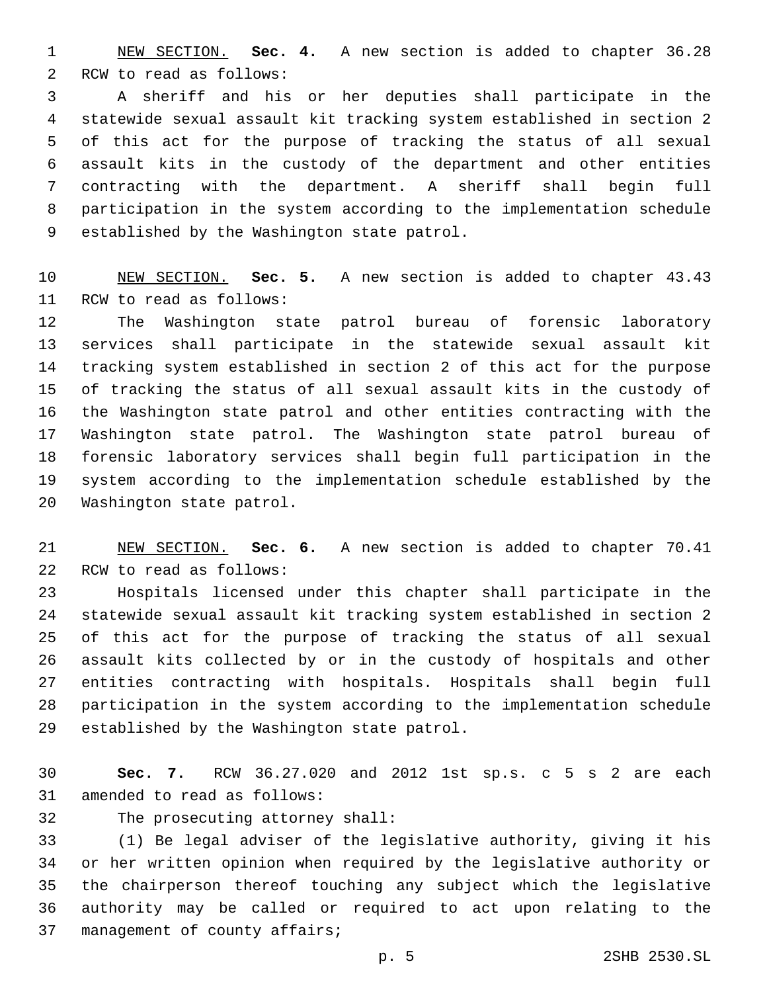NEW SECTION. **Sec. 4.** A new section is added to chapter 36.28 2 RCW to read as follows:

 A sheriff and his or her deputies shall participate in the statewide sexual assault kit tracking system established in section 2 of this act for the purpose of tracking the status of all sexual assault kits in the custody of the department and other entities contracting with the department. A sheriff shall begin full participation in the system according to the implementation schedule 9 established by the Washington state patrol.

 NEW SECTION. **Sec. 5.** A new section is added to chapter 43.43 11 RCW to read as follows:

 The Washington state patrol bureau of forensic laboratory services shall participate in the statewide sexual assault kit tracking system established in section 2 of this act for the purpose of tracking the status of all sexual assault kits in the custody of the Washington state patrol and other entities contracting with the Washington state patrol. The Washington state patrol bureau of forensic laboratory services shall begin full participation in the system according to the implementation schedule established by the 20 Washington state patrol.

 NEW SECTION. **Sec. 6.** A new section is added to chapter 70.41 22 RCW to read as follows:

 Hospitals licensed under this chapter shall participate in the statewide sexual assault kit tracking system established in section 2 of this act for the purpose of tracking the status of all sexual assault kits collected by or in the custody of hospitals and other entities contracting with hospitals. Hospitals shall begin full participation in the system according to the implementation schedule 29 established by the Washington state patrol.

 **Sec. 7.** RCW 36.27.020 and 2012 1st sp.s. c 5 s 2 are each 31 amended to read as follows:

32 The prosecuting attorney shall:

 (1) Be legal adviser of the legislative authority, giving it his or her written opinion when required by the legislative authority or the chairperson thereof touching any subject which the legislative authority may be called or required to act upon relating to the 37 management of county affairs;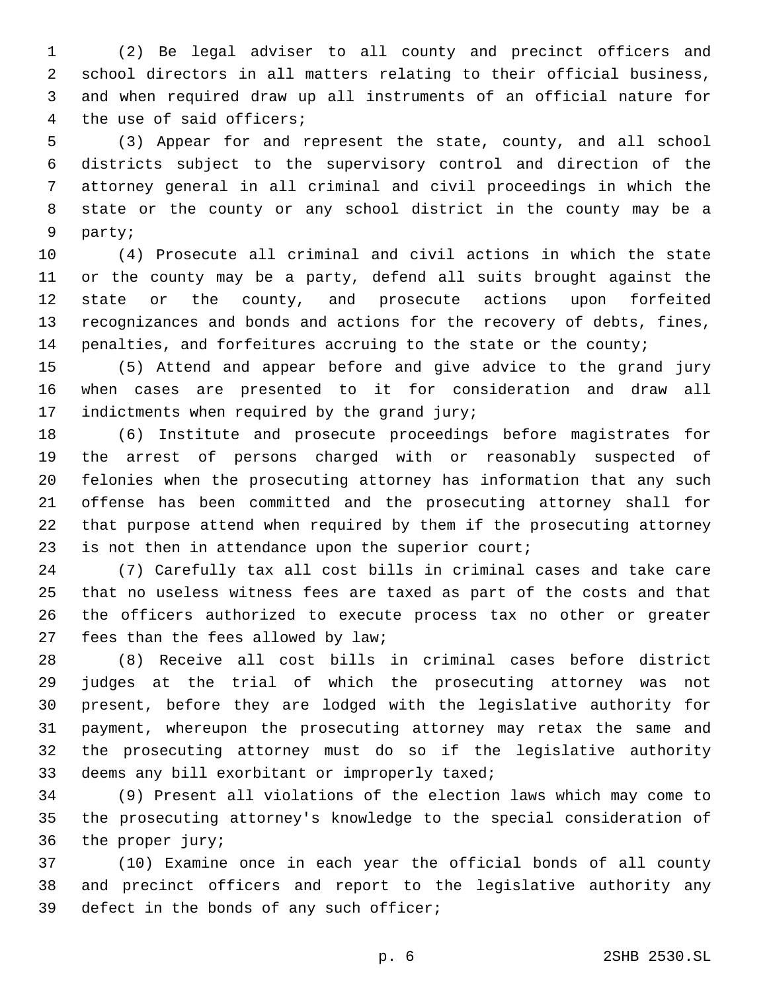(2) Be legal adviser to all county and precinct officers and school directors in all matters relating to their official business, and when required draw up all instruments of an official nature for 4 the use of said officers;

 (3) Appear for and represent the state, county, and all school districts subject to the supervisory control and direction of the attorney general in all criminal and civil proceedings in which the state or the county or any school district in the county may be a 9 party;

 (4) Prosecute all criminal and civil actions in which the state or the county may be a party, defend all suits brought against the state or the county, and prosecute actions upon forfeited recognizances and bonds and actions for the recovery of debts, fines, penalties, and forfeitures accruing to the state or the county;

 (5) Attend and appear before and give advice to the grand jury when cases are presented to it for consideration and draw all 17 indictments when required by the grand  $juryi$ 

 (6) Institute and prosecute proceedings before magistrates for the arrest of persons charged with or reasonably suspected of felonies when the prosecuting attorney has information that any such offense has been committed and the prosecuting attorney shall for that purpose attend when required by them if the prosecuting attorney is not then in attendance upon the superior court;

 (7) Carefully tax all cost bills in criminal cases and take care that no useless witness fees are taxed as part of the costs and that the officers authorized to execute process tax no other or greater 27 fees than the fees allowed by law;

 (8) Receive all cost bills in criminal cases before district judges at the trial of which the prosecuting attorney was not present, before they are lodged with the legislative authority for payment, whereupon the prosecuting attorney may retax the same and the prosecuting attorney must do so if the legislative authority 33 deems any bill exorbitant or improperly taxed;

 (9) Present all violations of the election laws which may come to the prosecuting attorney's knowledge to the special consideration of 36 the proper jury;

 (10) Examine once in each year the official bonds of all county and precinct officers and report to the legislative authority any 39 defect in the bonds of any such officer;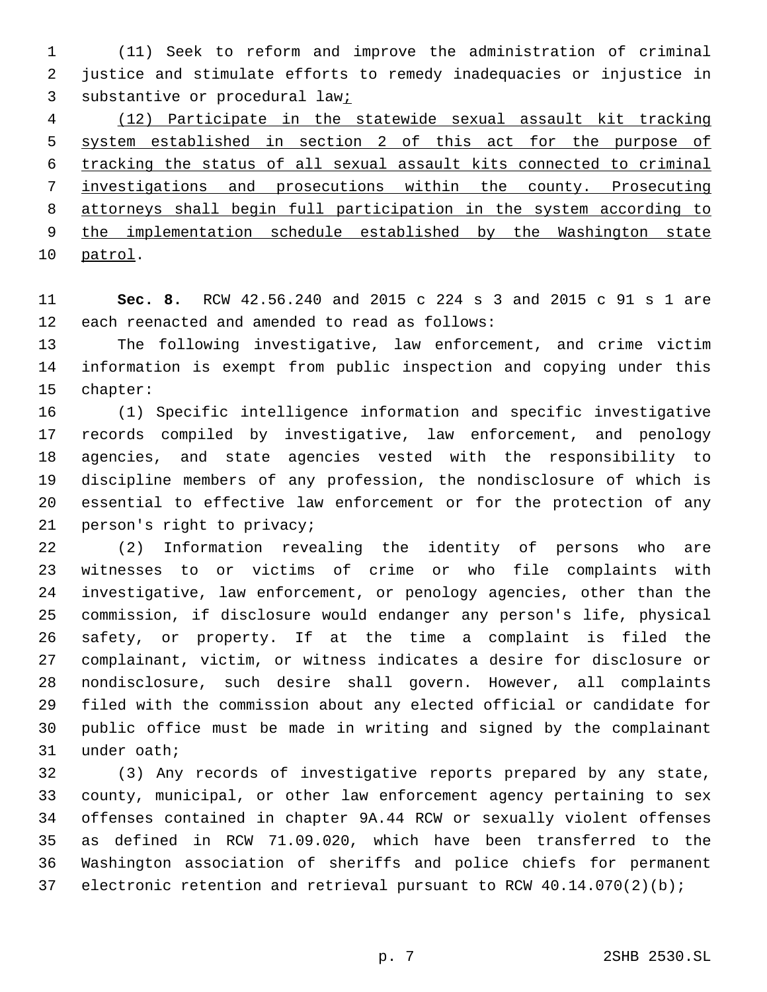(11) Seek to reform and improve the administration of criminal justice and stimulate efforts to remedy inadequacies or injustice in 3 substantive or procedural law<sub>j</sub>

 (12) Participate in the statewide sexual assault kit tracking system established in section 2 of this act for the purpose of tracking the status of all sexual assault kits connected to criminal investigations and prosecutions within the county. Prosecuting attorneys shall begin full participation in the system according to the implementation schedule established by the Washington state 10 patrol.

 **Sec. 8.** RCW 42.56.240 and 2015 c 224 s 3 and 2015 c 91 s 1 are 12 each reenacted and amended to read as follows:

 The following investigative, law enforcement, and crime victim information is exempt from public inspection and copying under this 15 chapter:

 (1) Specific intelligence information and specific investigative records compiled by investigative, law enforcement, and penology agencies, and state agencies vested with the responsibility to discipline members of any profession, the nondisclosure of which is essential to effective law enforcement or for the protection of any 21 person's right to privacy;

 (2) Information revealing the identity of persons who are witnesses to or victims of crime or who file complaints with investigative, law enforcement, or penology agencies, other than the commission, if disclosure would endanger any person's life, physical safety, or property. If at the time a complaint is filed the complainant, victim, or witness indicates a desire for disclosure or nondisclosure, such desire shall govern. However, all complaints filed with the commission about any elected official or candidate for public office must be made in writing and signed by the complainant 31 under oath;

 (3) Any records of investigative reports prepared by any state, county, municipal, or other law enforcement agency pertaining to sex offenses contained in chapter 9A.44 RCW or sexually violent offenses as defined in RCW 71.09.020, which have been transferred to the Washington association of sheriffs and police chiefs for permanent electronic retention and retrieval pursuant to RCW 40.14.070(2)(b);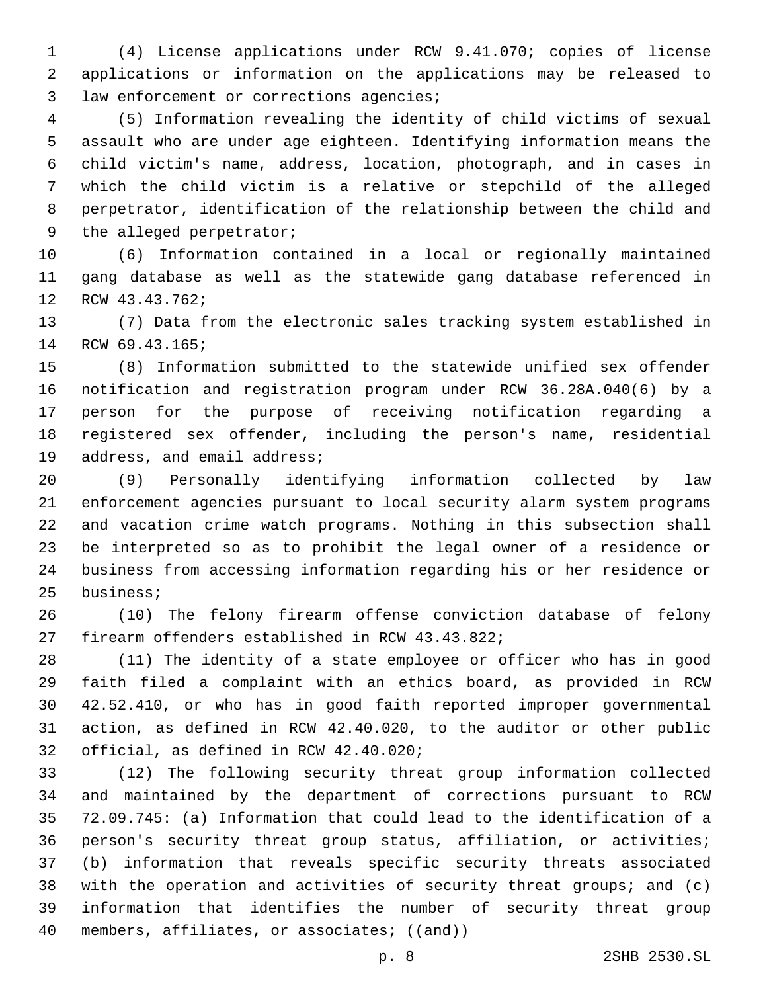(4) License applications under RCW 9.41.070; copies of license applications or information on the applications may be released to 3 law enforcement or corrections agencies;

 (5) Information revealing the identity of child victims of sexual assault who are under age eighteen. Identifying information means the child victim's name, address, location, photograph, and in cases in which the child victim is a relative or stepchild of the alleged perpetrator, identification of the relationship between the child and 9 the alleged perpetrator;

 (6) Information contained in a local or regionally maintained gang database as well as the statewide gang database referenced in 12 RCW 43.43.762;

 (7) Data from the electronic sales tracking system established in 14 RCW 69.43.165;

 (8) Information submitted to the statewide unified sex offender notification and registration program under RCW 36.28A.040(6) by a person for the purpose of receiving notification regarding a registered sex offender, including the person's name, residential 19 address, and email address;

 (9) Personally identifying information collected by law enforcement agencies pursuant to local security alarm system programs and vacation crime watch programs. Nothing in this subsection shall be interpreted so as to prohibit the legal owner of a residence or business from accessing information regarding his or her residence or 25 business;

 (10) The felony firearm offense conviction database of felony 27 firearm offenders established in RCW 43.43.822;

 (11) The identity of a state employee or officer who has in good faith filed a complaint with an ethics board, as provided in RCW 42.52.410, or who has in good faith reported improper governmental action, as defined in RCW 42.40.020, to the auditor or other public 32 official, as defined in RCW 42.40.020;

 (12) The following security threat group information collected and maintained by the department of corrections pursuant to RCW 72.09.745: (a) Information that could lead to the identification of a person's security threat group status, affiliation, or activities; (b) information that reveals specific security threats associated with the operation and activities of security threat groups; and (c) information that identifies the number of security threat group 40 members, affiliates, or associates; ((and))

p. 8 2SHB 2530.SL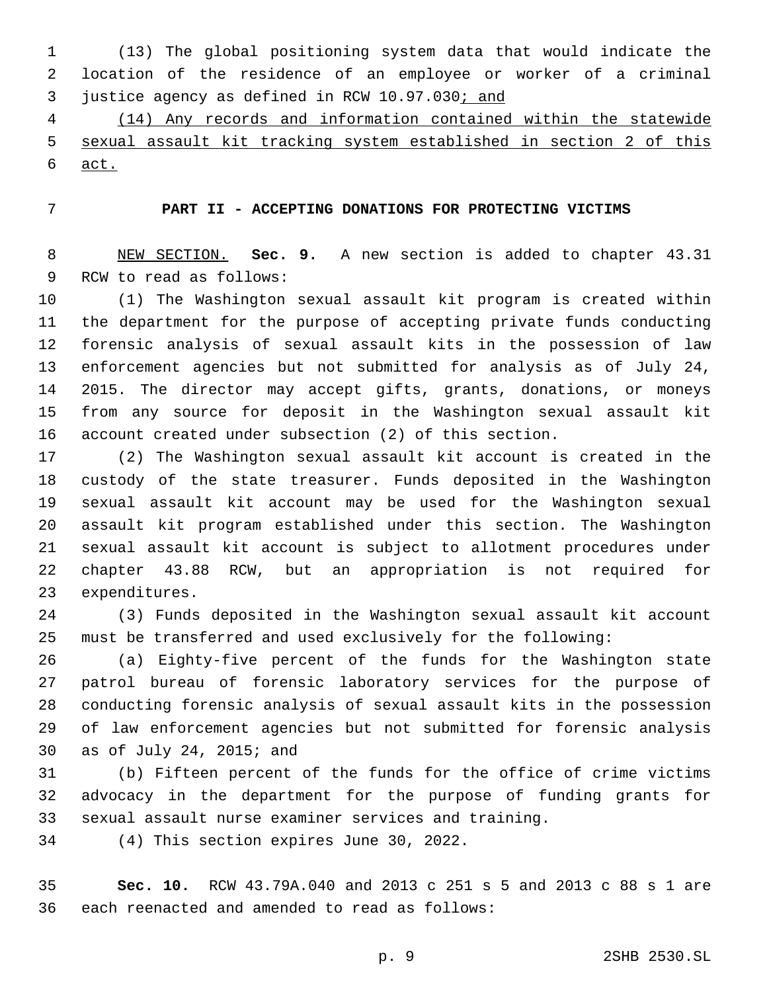(13) The global positioning system data that would indicate the location of the residence of an employee or worker of a criminal 3 justice agency as defined in RCW 10.97.030; and

 (14) Any records and information contained within the statewide sexual assault kit tracking system established in section 2 of this act.

# **PART II - ACCEPTING DONATIONS FOR PROTECTING VICTIMS**

 NEW SECTION. **Sec. 9.** A new section is added to chapter 43.31 9 RCW to read as follows:

 (1) The Washington sexual assault kit program is created within the department for the purpose of accepting private funds conducting forensic analysis of sexual assault kits in the possession of law enforcement agencies but not submitted for analysis as of July 24, 2015. The director may accept gifts, grants, donations, or moneys from any source for deposit in the Washington sexual assault kit account created under subsection (2) of this section.

 (2) The Washington sexual assault kit account is created in the custody of the state treasurer. Funds deposited in the Washington sexual assault kit account may be used for the Washington sexual assault kit program established under this section. The Washington sexual assault kit account is subject to allotment procedures under chapter 43.88 RCW, but an appropriation is not required for 23 expenditures.

 (3) Funds deposited in the Washington sexual assault kit account must be transferred and used exclusively for the following:

 (a) Eighty-five percent of the funds for the Washington state patrol bureau of forensic laboratory services for the purpose of conducting forensic analysis of sexual assault kits in the possession of law enforcement agencies but not submitted for forensic analysis 30 as of July 24, 2015; and

 (b) Fifteen percent of the funds for the office of crime victims advocacy in the department for the purpose of funding grants for sexual assault nurse examiner services and training.

34 (4) This section expires June 30, 2022.

 **Sec. 10.** RCW 43.79A.040 and 2013 c 251 s 5 and 2013 c 88 s 1 are 36 each reenacted and amended to read as follows: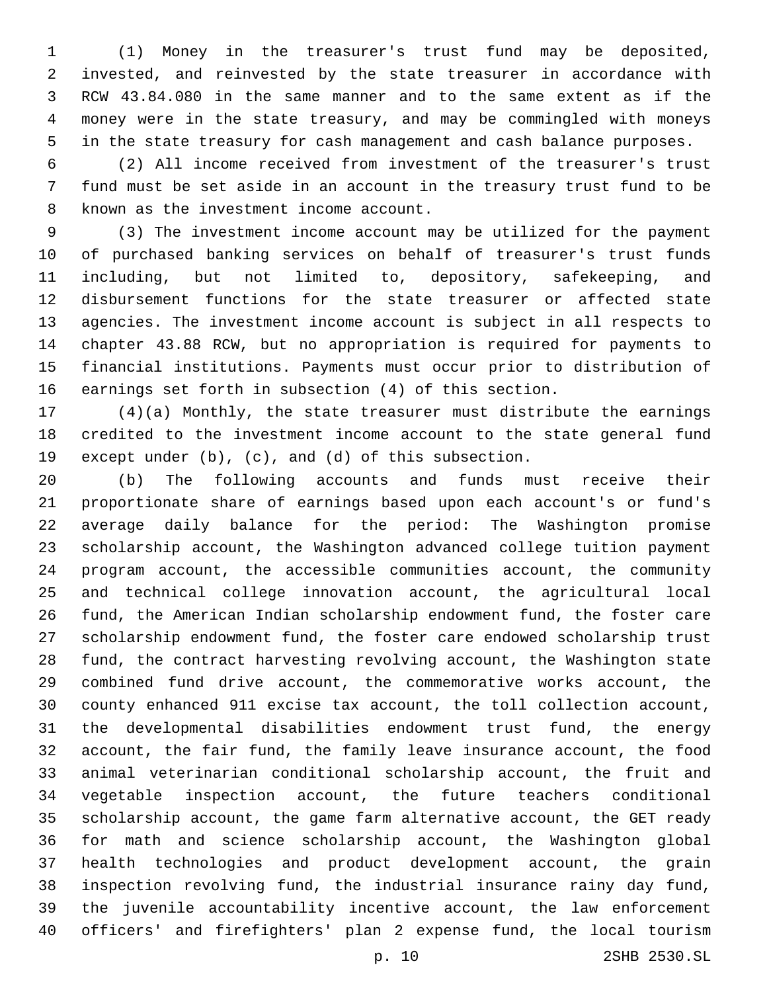(1) Money in the treasurer's trust fund may be deposited, invested, and reinvested by the state treasurer in accordance with RCW 43.84.080 in the same manner and to the same extent as if the money were in the state treasury, and may be commingled with moneys in the state treasury for cash management and cash balance purposes.

 (2) All income received from investment of the treasurer's trust fund must be set aside in an account in the treasury trust fund to be 8 known as the investment income account.

 (3) The investment income account may be utilized for the payment of purchased banking services on behalf of treasurer's trust funds including, but not limited to, depository, safekeeping, and disbursement functions for the state treasurer or affected state agencies. The investment income account is subject in all respects to chapter 43.88 RCW, but no appropriation is required for payments to financial institutions. Payments must occur prior to distribution of earnings set forth in subsection (4) of this section.

 (4)(a) Monthly, the state treasurer must distribute the earnings credited to the investment income account to the state general fund except under (b), (c), and (d) of this subsection.

 (b) The following accounts and funds must receive their proportionate share of earnings based upon each account's or fund's average daily balance for the period: The Washington promise scholarship account, the Washington advanced college tuition payment program account, the accessible communities account, the community and technical college innovation account, the agricultural local fund, the American Indian scholarship endowment fund, the foster care scholarship endowment fund, the foster care endowed scholarship trust fund, the contract harvesting revolving account, the Washington state combined fund drive account, the commemorative works account, the county enhanced 911 excise tax account, the toll collection account, the developmental disabilities endowment trust fund, the energy account, the fair fund, the family leave insurance account, the food animal veterinarian conditional scholarship account, the fruit and vegetable inspection account, the future teachers conditional scholarship account, the game farm alternative account, the GET ready for math and science scholarship account, the Washington global health technologies and product development account, the grain inspection revolving fund, the industrial insurance rainy day fund, the juvenile accountability incentive account, the law enforcement officers' and firefighters' plan 2 expense fund, the local tourism

p. 10 2SHB 2530.SL